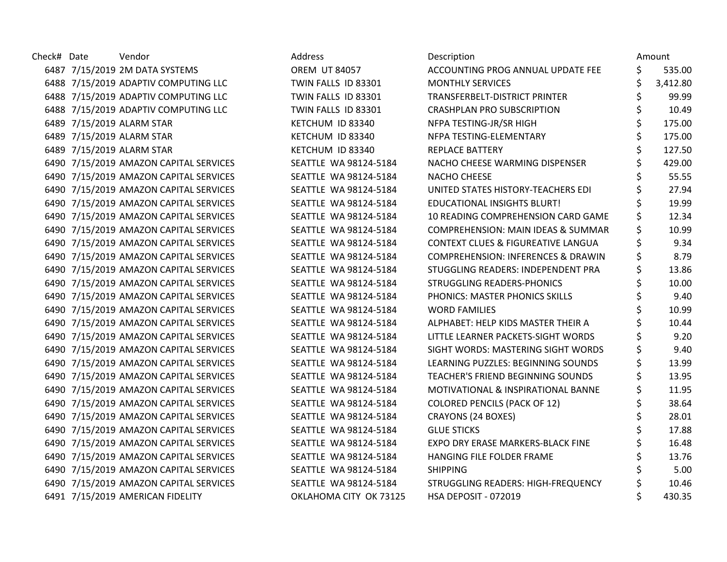| Check# Date | Vendor                                 | Address                | Description                                   | Amount       |
|-------------|----------------------------------------|------------------------|-----------------------------------------------|--------------|
|             | 6487 7/15/2019 2M DATA SYSTEMS         | <b>OREM UT 84057</b>   | ACCOUNTING PROG ANNUAL UPDATE FEE             | \$<br>535.00 |
|             | 6488 7/15/2019 ADAPTIV COMPUTING LLC   | TWIN FALLS ID 83301    | <b>MONTHLY SERVICES</b>                       | 3,412.80     |
|             | 6488 7/15/2019 ADAPTIV COMPUTING LLC   | TWIN FALLS ID 83301    | TRANSFERBELT-DISTRICT PRINTER                 | 99.99        |
|             | 6488 7/15/2019 ADAPTIV COMPUTING LLC   | TWIN FALLS ID 83301    | <b>CRASHPLAN PRO SUBSCRIPTION</b>             | 10.49        |
|             | 6489 7/15/2019 ALARM STAR              | KETCHUM ID 83340       | NFPA TESTING-JR/SR HIGH                       | \$<br>175.00 |
|             | 6489 7/15/2019 ALARM STAR              | KETCHUM ID 83340       | NFPA TESTING-ELEMENTARY                       | \$<br>175.00 |
|             | 6489 7/15/2019 ALARM STAR              | KETCHUM ID 83340       | <b>REPLACE BATTERY</b>                        | 127.50       |
|             | 6490 7/15/2019 AMAZON CAPITAL SERVICES | SEATTLE WA 98124-5184  | NACHO CHEESE WARMING DISPENSER                | 429.00       |
|             | 6490 7/15/2019 AMAZON CAPITAL SERVICES | SEATTLE WA 98124-5184  | NACHO CHEESE                                  | 55.55        |
|             | 6490 7/15/2019 AMAZON CAPITAL SERVICES | SEATTLE WA 98124-5184  | UNITED STATES HISTORY-TEACHERS EDI            | \$<br>27.94  |
|             | 6490 7/15/2019 AMAZON CAPITAL SERVICES | SEATTLE WA 98124-5184  | EDUCATIONAL INSIGHTS BLURT!                   | \$<br>19.99  |
|             | 6490 7/15/2019 AMAZON CAPITAL SERVICES | SEATTLE WA 98124-5184  | 10 READING COMPREHENSION CARD GAME            | \$<br>12.34  |
|             | 6490 7/15/2019 AMAZON CAPITAL SERVICES | SEATTLE WA 98124-5184  | <b>COMPREHENSION: MAIN IDEAS &amp; SUMMAR</b> | 10.99        |
|             | 6490 7/15/2019 AMAZON CAPITAL SERVICES | SEATTLE WA 98124-5184  | CONTEXT CLUES & FIGUREATIVE LANGUA            | 9.34         |
|             | 6490 7/15/2019 AMAZON CAPITAL SERVICES | SEATTLE WA 98124-5184  | <b>COMPREHENSION: INFERENCES &amp; DRAWIN</b> | 8.79         |
|             | 6490 7/15/2019 AMAZON CAPITAL SERVICES | SEATTLE WA 98124-5184  | STUGGLING READERS: INDEPENDENT PRA            | 13.86        |
|             | 6490 7/15/2019 AMAZON CAPITAL SERVICES | SEATTLE WA 98124-5184  | <b>STRUGGLING READERS-PHONICS</b>             | 10.00        |
|             | 6490 7/15/2019 AMAZON CAPITAL SERVICES | SEATTLE WA 98124-5184  | PHONICS: MASTER PHONICS SKILLS                | 9.40         |
|             | 6490 7/15/2019 AMAZON CAPITAL SERVICES | SEATTLE WA 98124-5184  | <b>WORD FAMILIES</b>                          | 10.99        |
|             | 6490 7/15/2019 AMAZON CAPITAL SERVICES | SEATTLE WA 98124-5184  | ALPHABET: HELP KIDS MASTER THEIR A            | 10.44        |
|             | 6490 7/15/2019 AMAZON CAPITAL SERVICES | SEATTLE WA 98124-5184  | LITTLE LEARNER PACKETS-SIGHT WORDS            | 9.20         |
|             | 6490 7/15/2019 AMAZON CAPITAL SERVICES | SEATTLE WA 98124-5184  | SIGHT WORDS: MASTERING SIGHT WORDS            | 9.40         |
|             | 6490 7/15/2019 AMAZON CAPITAL SERVICES | SEATTLE WA 98124-5184  | LEARNING PUZZLES: BEGINNING SOUNDS            | \$<br>13.99  |
|             | 6490 7/15/2019 AMAZON CAPITAL SERVICES | SEATTLE WA 98124-5184  | TEACHER'S FRIEND BEGINNING SOUNDS             | 13.95        |
|             | 6490 7/15/2019 AMAZON CAPITAL SERVICES | SEATTLE WA 98124-5184  | MOTIVATIONAL & INSPIRATIONAL BANNE            | \$<br>11.95  |
|             | 6490 7/15/2019 AMAZON CAPITAL SERVICES | SEATTLE WA 98124-5184  | <b>COLORED PENCILS (PACK OF 12)</b>           | 38.64        |
|             | 6490 7/15/2019 AMAZON CAPITAL SERVICES | SEATTLE WA 98124-5184  | CRAYONS (24 BOXES)                            | 28.01        |
|             | 6490 7/15/2019 AMAZON CAPITAL SERVICES | SEATTLE WA 98124-5184  | <b>GLUE STICKS</b>                            | 17.88        |
|             | 6490 7/15/2019 AMAZON CAPITAL SERVICES | SEATTLE WA 98124-5184  | EXPO DRY ERASE MARKERS-BLACK FINE             | 16.48        |
|             | 6490 7/15/2019 AMAZON CAPITAL SERVICES | SEATTLE WA 98124-5184  | HANGING FILE FOLDER FRAME                     | \$<br>13.76  |
|             | 6490 7/15/2019 AMAZON CAPITAL SERVICES | SEATTLE WA 98124-5184  | <b>SHIPPING</b>                               | 5.00         |
|             | 6490 7/15/2019 AMAZON CAPITAL SERVICES | SEATTLE WA 98124-5184  | STRUGGLING READERS: HIGH-FREQUENCY            | 10.46        |
|             | 6491 7/15/2019 AMERICAN FIDELITY       | OKLAHOMA CITY OK 73125 | HSA DEPOSIT - 072019                          | \$<br>430.35 |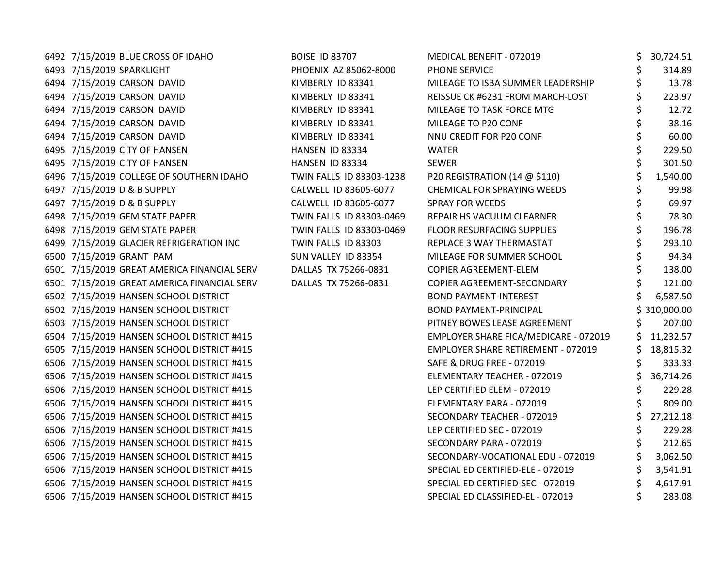| 6492 7/15/2019 BLUE CROSS OF IDAHO          | <b>BOISE ID 83707</b>    | MEDICAL BENEFIT - 072019                  | S  | 30,724.51  |
|---------------------------------------------|--------------------------|-------------------------------------------|----|------------|
| 6493 7/15/2019 SPARKLIGHT                   | PHOENIX AZ 85062-8000    | PHONE SERVICE                             |    | 314.89     |
| 6494 7/15/2019 CARSON DAVID                 | KIMBERLY ID 83341        | MILEAGE TO ISBA SUMMER LEADERSHIP         |    | 13.78      |
| 6494 7/15/2019 CARSON DAVID                 | KIMBERLY ID 83341        | REISSUE CK #6231 FROM MARCH-LOST          |    | 223.97     |
| 6494 7/15/2019 CARSON DAVID                 | KIMBERLY ID 83341        | MILEAGE TO TASK FORCE MTG                 |    | 12.72      |
| 6494 7/15/2019 CARSON DAVID                 | KIMBERLY ID 83341        | MILEAGE TO P20 CONF                       |    | 38.16      |
| 6494 7/15/2019 CARSON DAVID                 | KIMBERLY ID 83341        | NNU CREDIT FOR P20 CONF                   | \$ | 60.00      |
| 6495 7/15/2019 CITY OF HANSEN               | HANSEN ID 83334          | <b>WATER</b>                              | \$ | 229.50     |
| 6495 7/15/2019 CITY OF HANSEN               | HANSEN ID 83334          | <b>SEWER</b>                              |    | 301.50     |
| 6496 7/15/2019 COLLEGE OF SOUTHERN IDAHO    | TWIN FALLS ID 83303-1238 | P20 REGISTRATION (14 @ \$110)             |    | 1,540.00   |
| 6497 7/15/2019 D & B SUPPLY                 | CALWELL ID 83605-6077    | <b>CHEMICAL FOR SPRAYING WEEDS</b>        |    | 99.98      |
| 6497 7/15/2019 D & B SUPPLY                 | CALWELL ID 83605-6077    | <b>SPRAY FOR WEEDS</b>                    | \$ | 69.97      |
| 6498 7/15/2019 GEM STATE PAPER              | TWIN FALLS ID 83303-0469 | REPAIR HS VACUUM CLEARNER                 |    | 78.30      |
| 6498 7/15/2019 GEM STATE PAPER              | TWIN FALLS ID 83303-0469 | <b>FLOOR RESURFACING SUPPLIES</b>         |    | 196.78     |
| 6499 7/15/2019 GLACIER REFRIGERATION INC    | TWIN FALLS ID 83303      | REPLACE 3 WAY THERMASTAT                  |    | 293.10     |
| 6500 7/15/2019 GRANT PAM                    | SUN VALLEY ID 83354      | MILEAGE FOR SUMMER SCHOOL                 |    | 94.34      |
| 6501 7/15/2019 GREAT AMERICA FINANCIAL SERV | DALLAS TX 75266-0831     | COPIER AGREEMENT-ELEM                     | \$ | 138.00     |
| 6501 7/15/2019 GREAT AMERICA FINANCIAL SERV | DALLAS TX 75266-0831     | COPIER AGREEMENT-SECONDARY                |    | 121.00     |
| 6502 7/15/2019 HANSEN SCHOOL DISTRICT       |                          | <b>BOND PAYMENT-INTEREST</b>              |    | 6,587.50   |
| 6502 7/15/2019 HANSEN SCHOOL DISTRICT       |                          | <b>BOND PAYMENT-PRINCIPAL</b>             |    | 310,000.00 |
| 6503 7/15/2019 HANSEN SCHOOL DISTRICT       |                          | PITNEY BOWES LEASE AGREEMENT              |    | 207.00     |
| 6504 7/15/2019 HANSEN SCHOOL DISTRICT #415  |                          | EMPLOYER SHARE FICA/MEDICARE - 072019     | S  | 11,232.57  |
| 6505 7/15/2019 HANSEN SCHOOL DISTRICT #415  |                          | <b>EMPLOYER SHARE RETIREMENT - 072019</b> | S  | 18,815.32  |
| 6506 7/15/2019 HANSEN SCHOOL DISTRICT #415  |                          | SAFE & DRUG FREE - 072019                 | \$ | 333.33     |
| 6506 7/15/2019 HANSEN SCHOOL DISTRICT #415  |                          | ELEMENTARY TEACHER - 072019               | \$ | 36,714.26  |
| 6506 7/15/2019 HANSEN SCHOOL DISTRICT #415  |                          | LEP CERTIFIED ELEM - 072019               | \$ | 229.28     |
| 6506 7/15/2019 HANSEN SCHOOL DISTRICT #415  |                          | ELEMENTARY PARA - 072019                  |    | 809.00     |
| 6506 7/15/2019 HANSEN SCHOOL DISTRICT #415  |                          | SECONDARY TEACHER - 072019                | \$ | 27,212.18  |
| 6506 7/15/2019 HANSEN SCHOOL DISTRICT #415  |                          | LEP CERTIFIED SEC - 072019                |    | 229.28     |
| 6506 7/15/2019 HANSEN SCHOOL DISTRICT #415  |                          | SECONDARY PARA - 072019                   |    | 212.65     |
| 6506 7/15/2019 HANSEN SCHOOL DISTRICT #415  |                          | SECONDARY-VOCATIONAL EDU - 072019         |    | 3,062.50   |
| 6506 7/15/2019 HANSEN SCHOOL DISTRICT #415  |                          | SPECIAL ED CERTIFIED-ELE - 072019         |    | 3,541.91   |
| 6506 7/15/2019 HANSEN SCHOOL DISTRICT #415  |                          | SPECIAL ED CERTIFIED-SEC - 072019         |    | 4,617.91   |
| 6506 7/15/2019 HANSEN SCHOOL DISTRICT #415  |                          | SPECIAL ED CLASSIFIED-EL - 072019         |    | 283.08     |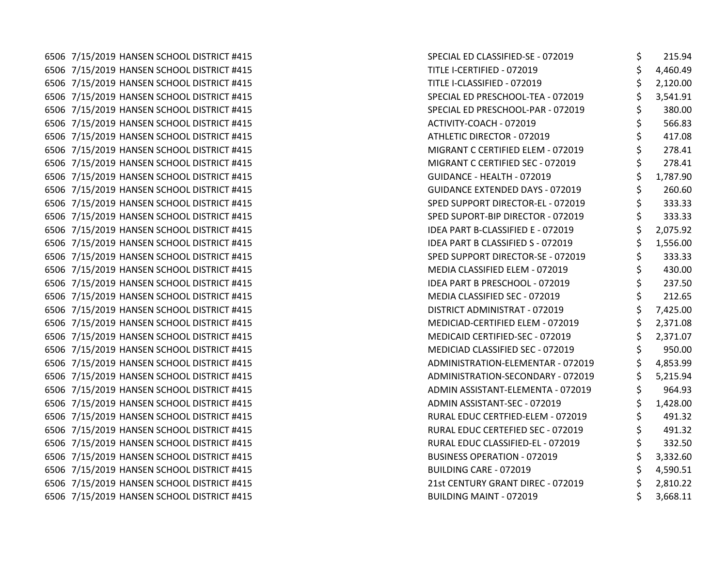6506 7/15/2019 HANSEN SCHOOL DISTRICT #415 6506 7/15/2019 HANSEN SCHOOL DISTRICT #415 6506 7/15/2019 HANSEN SCHOOL DISTRICT #415 6506 7/15/2019 HANSEN SCHOOL DISTRICT #415 6506 7/15/2019 HANSEN SCHOOL DISTRICT #415 6506 7/15/2019 HANSEN SCHOOL DISTRICT #415 6506 7/15/2019 HANSEN SCHOOL DISTRICT #415 6506 7/15/2019 HANSEN SCHOOL DISTRICT #415 6506 7/15/2019 HANSEN SCHOOL DISTRICT #415 6506 7/15/2019 HANSEN SCHOOL DISTRICT #415 6506 7/15/2019 HANSEN SCHOOL DISTRICT #415 6506 7/15/2019 HANSEN SCHOOL DISTRICT #415 6506 7/15/2019 HANSEN SCHOOL DISTRICT #415 6506 7/15/2019 HANSEN SCHOOL DISTRICT #415 6506 7/15/2019 HANSEN SCHOOL DISTRICT #415 6506 7/15/2019 HANSEN SCHOOL DISTRICT #415 6506 7/15/2019 HANSEN SCHOOL DISTRICT #415 6506 7/15/2019 HANSEN SCHOOL DISTRICT #415 6506 7/15/2019 HANSEN SCHOOL DISTRICT #415 6506 7/15/2019 HANSEN SCHOOL DISTRICT #415 6506 7/15/2019 HANSEN SCHOOL DISTRICT #415 6506 7/15/2019 HANSEN SCHOOL DISTRICT #415 6506 7/15/2019 HANSEN SCHOOL DISTRICT #415 6506 7/15/2019 HANSEN SCHOOL DISTRICT #415 6506 7/15/2019 HANSEN SCHOOL DISTRICT #415 6506 7/15/2019 HANSEN SCHOOL DISTRICT #415 6506 7/15/2019 HANSEN SCHOOL DISTRICT #415 6506 7/15/2019 HANSEN SCHOOL DISTRICT #415 6506 7/15/2019 HANSEN SCHOOL DISTRICT #415 6506 7/15/2019 HANSEN SCHOOL DISTRICT #415 6506 7/15/2019 HANSEN SCHOOL DISTRICT #415 6506 7/15/2019 HANSEN SCHOOL DISTRICT #415 6506 7/15/2019 HANSEN SCHOOL DISTRICT #415 6506 7/15/2019 HANSEN SCHOOL DISTRICT #415

| SPECIAL ED CLASSIFIED-SE - 072019        | \$<br>215.94   |
|------------------------------------------|----------------|
| TITLE I-CERTIFIED - 072019               | \$<br>4,460.49 |
| TITLE I-CLASSIFIED - 072019              | \$<br>2,120.00 |
| SPECIAL ED PRESCHOOL-TEA - 072019        | \$<br>3,541.91 |
| SPECIAL ED PRESCHOOL-PAR - 072019        | \$<br>380.00   |
| ACTIVITY-COACH - 072019                  | \$<br>566.83   |
| ATHLETIC DIRECTOR - 072019               | \$<br>417.08   |
| <b>MIGRANT C CERTIFIED ELEM - 072019</b> | \$<br>278.41   |
| MIGRANT C CERTIFIED SEC - 072019         | \$<br>278.41   |
| <b>GUIDANCE - HEALTH - 072019</b>        | \$<br>1,787.90 |
| <b>GUIDANCE EXTENDED DAYS - 072019</b>   | \$<br>260.60   |
| SPED SUPPORT DIRECTOR-EL - 072019        | \$<br>333.33   |
| SPED SUPORT-BIP DIRECTOR - 072019        | \$<br>333.33   |
| DEA PART B-CLASSIFIED E - 072019         | \$<br>2,075.92 |
| DEA PART B CLASSIFIED S - 072019         | \$<br>1,556.00 |
| SPED SUPPORT DIRECTOR-SE - 072019        | \$<br>333.33   |
| MEDIA CLASSIFIED ELEM - 072019           | \$<br>430.00   |
| DEA PART B PRESCHOOL - 072019            | \$<br>237.50   |
| MEDIA CLASSIFIED SEC - 072019            | \$<br>212.65   |
| DISTRICT ADMINISTRAT - 072019            | \$<br>7,425.00 |
| MEDICIAD-CERTIFIED ELEM - 072019         | \$<br>2,371.08 |
| <b>MEDICAID CERTIFIED-SEC - 072019</b>   | \$<br>2,371.07 |
| MEDICIAD CLASSIFIED SEC - 072019         | \$<br>950.00   |
| ADMINISTRATION-ELEMENTAR - 072019        | \$<br>4,853.99 |
| ADMINISTRATION-SECONDARY - 072019        | \$<br>5,215.94 |
| ADMIN ASSISTANT-ELEMENTA - 072019        | \$<br>964.93   |
| ADMIN ASSISTANT-SEC - 072019             | \$<br>1,428.00 |
| RURAL EDUC CERTFIED-ELEM - 072019        | \$<br>491.32   |
| RURAL EDUC CERTEFIED SEC - 072019        | \$<br>491.32   |
| RURAL EDUC CLASSIFIED-EL - 072019        | \$<br>332.50   |
| <b>BUSINESS OPERATION - 072019</b>       | \$<br>3,332.60 |
| <b>BUILDING CARE - 072019</b>            | \$<br>4,590.51 |
| 21st CENTURY GRANT DIREC - 072019        | \$<br>2,810.22 |
| <b>BUILDING MAINT - 072019</b>           | \$<br>3,668.11 |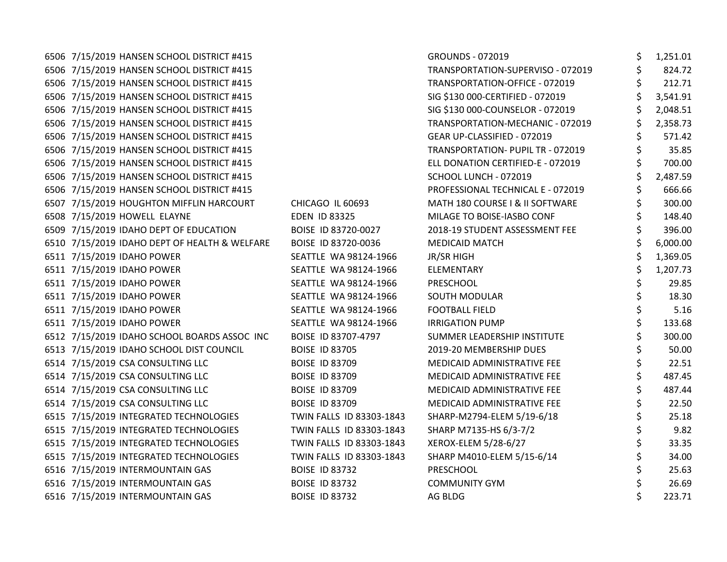6506 7/15/2019 HANSEN SCHOOL DISTRICT #415 GROUNDS - 0721.012019 5 1,251.011 6506 7/15/2019 HANSEN SCHOOL DISTRICT #415 TRANSPORTATION-SUPERVISO - 0712019 TRANSPORTATION-6506 7/15/2019 HANSEN SCHOOL DISTRICT #415 TRANSPORTATION-OFFICE - 07215 TRANSPORTATION-OFFICE - 072 6506 7/15/2019 HANSEN SCHOOL DISTRICT #415 SIGNED - 031 SIGNED - 031 6506 7/15/2019 HANSEN SCHOOL DISTRICT #415 3120 000-COUNSELOR SIGNAL SIGNAL SIGNAL SIGNAL SIGNAL SIGNAL SIGNAL 6506 7/15/2019 HANSEN SCHOOL DISTRICT #415 TRANSPORTATION-MECHANIC TRANSPORTATION-MECHANIC TRANSPORTATION-MECH 6506 7/15/2019 HANSEN SCHOOL DISTRICT #415 GEAR UP-CLASSIFIED - 072019 571.422019 \$ 6506 7/15/2019 HANSEN SCHOOL DISTRICT #415 TRANSPORTATION- PUPIL TRANSPORTATION- PUPIL TRANSPORTATION- PUPIL T 6506 7/15/2019 HANSEN SCHOOL DISTRICT #415 FILL DONATION CERTIFIED-6506 7/15/2019 HANSEN SCHOOL DISTRICT #415 SK SCHOOL LUNCH - 072019 SK 6506 7/15/2019 HANSEN SCHOOL DISTRICT #415 PROFESSIONAL TECHNICAL E - 072019 \$ 666.67 P 6507 7/15/2019 HOUGHTON MIFFLIN HARCOURT CHICAGO IL 60693 MATH 180 COURSE IN SOFTWARE IN SOFTWARE IN SOFTWARE S 6508 7/15/2019 HOWELL ELAYNE ENDING TO BOIS 2325 MILAGE TO BOISE TO BOISE AND BOISE-IN 6509 7/15/2019 IDAHO DEPT OF EDUCATION BOISE ID 83720-0027 2018-19 6510 7/15/2019 IDAHO DEPT OF HEALTH & WELFARE BOISE ID 83720-0036 M 6511 7/15/2019 IDAHO POWER SEATTLE WA 98124-1966 JI 6511 7/15/2019 IDAHO POWER SEATTLE WA 98124-1966 E 6511 7/15/2019 IDAHO POWER SEATTLE WA 98124-1966 P 6511 7/15/2019 IDAHO POWER SEATTLE WA 98124-1966 SI 6511 7/15/2019 IDAHO POWER SEATTLE WA 98124-1966 F 6511 7/15/2019 IDAHO POWER SEATTLE WA 98124-1966 IF 6512 7/15/2019 IDAHO SCHOOL BOARDS ASSOC INC BOISE ID 83707-4797 SI 6513 7/15/2019 IDAHO SCHOOL DIST COUNCIL BOISE ID 83705 2019-2019 6514 7/15/2019 CSA CONSULTING LLC BOISE ID 83709 MEDICAL 6514 7/15/2019 CSA CONSULTING LLC BOISE ID 83709 MEDICAL 6514 7/15/2019 CSA CONSULTING LLC BOISE ID 83709 MEDICAL 6514 7/15/2019 CSA CONSULTING LLC BOISE ID 83709 MEDICALLER SERVICE FEE \$ 22.500 M 6515 7/15/2019 INTEGRATED TECHNOLOGIES TWIN FALLS ID 83303-1843 SH 6515 7/15/2019 INTEGRATED TECHNOLOGIES TWIN FALLS ID 83303-1843 SH 6515 7/15/2019 INTEGRATED TECHNOLOGIES TWIN FALLS ID 83303-1843 X 6515 7/15/2019 INTEGRATED TECHNOLOGIES TWIN FALLS ID 83303-1843 SH 6516 7/15/2019 INTERMOUNTAIN GAS BOISE ID 83732 P 6516 7/15/2019 INTERMOUNTAIN GAS BOISE ID 83732 C 6516 7/15/2019 INTERMOUNTAIN GAS BOISE ID 83732 AG BLDG \$ 223.71

| ROUNDS - 072019                            | Ş  | 1,251.01 |
|--------------------------------------------|----|----------|
| RANSPORTATION-SUPERVISO - 072019           | \$ | 824.72   |
| RANSPORTATION-OFFICE - 072019              | \$ | 212.71   |
| IG \$130 000-CERTIFIED - 072019            | \$ | 3,541.91 |
| IG \$130 000-COUNSELOR - 072019            | \$ | 2,048.51 |
| RANSPORTATION-MECHANIC - 072019            | \$ | 2,358.73 |
| EAR UP-CLASSIFIED - 072019                 | \$ | 571.42   |
| RANSPORTATION- PUPIL TR - 072019           | \$ | 35.85    |
| LL DONATION CERTIFIED-E - 072019           | \$ | 700.00   |
| CHOOL LUNCH - 072019                       | \$ | 2,487.59 |
| ROFESSIONAL TECHNICAL E - 072019           | \$ | 666.66   |
| <b>AATH 180 COURSE I &amp; II SOFTWARE</b> | \$ | 300.00   |
| <b><i>AILAGE TO BOISE-IASBO CONF</i></b>   | \$ | 148.40   |
| 018-19 STUDENT ASSESSMENT FEE              | \$ | 396.00   |
| <b><i>AEDICAID MATCH</i></b>               | \$ | 6,000.00 |
| R/SR HIGH                                  | \$ | 1,369.05 |
| LEMENTARY                                  | \$ | 1,207.73 |
| <b>RESCHOOL</b>                            | \$ | 29.85    |
| <b>OUTH MODULAR</b>                        | \$ | 18.30    |
| <b>OOTBALL FIELD</b>                       | \$ | 5.16     |
| <b>RRIGATION PUMP</b>                      | \$ | 133.68   |
| UMMER LEADERSHIP INSTITUTE                 | \$ | 300.00   |
| 019-20 MEMBERSHIP DUES                     | \$ | 50.00    |
| <b><i>AEDICAID ADMINISTRATIVE FEE</i></b>  | \$ | 22.51    |
| <b><i>AEDICAID ADMINISTRATIVE FEE</i></b>  | \$ | 487.45   |
| <b><i>AEDICAID ADMINISTRATIVE FEE</i></b>  | \$ | 487.44   |
| <b><i>AEDICAID ADMINISTRATIVE FEE</i></b>  | \$ | 22.50    |
| HARP-M2794-ELEM 5/19-6/18                  | \$ | 25.18    |
| HARP M7135-HS 6/3-7/2                      | \$ | 9.82     |
| EROX-ELEM 5/28-6/27                        | \$ | 33.35    |
| HARP M4010-ELEM 5/15-6/14                  | \$ | 34.00    |
| <b>RESCHOOL</b>                            | \$ | 25.63    |
| <b>OMMUNITY GYM</b>                        | \$ | 26.69    |
| G BLDG                                     | \$ | 223.71   |
|                                            |    |          |